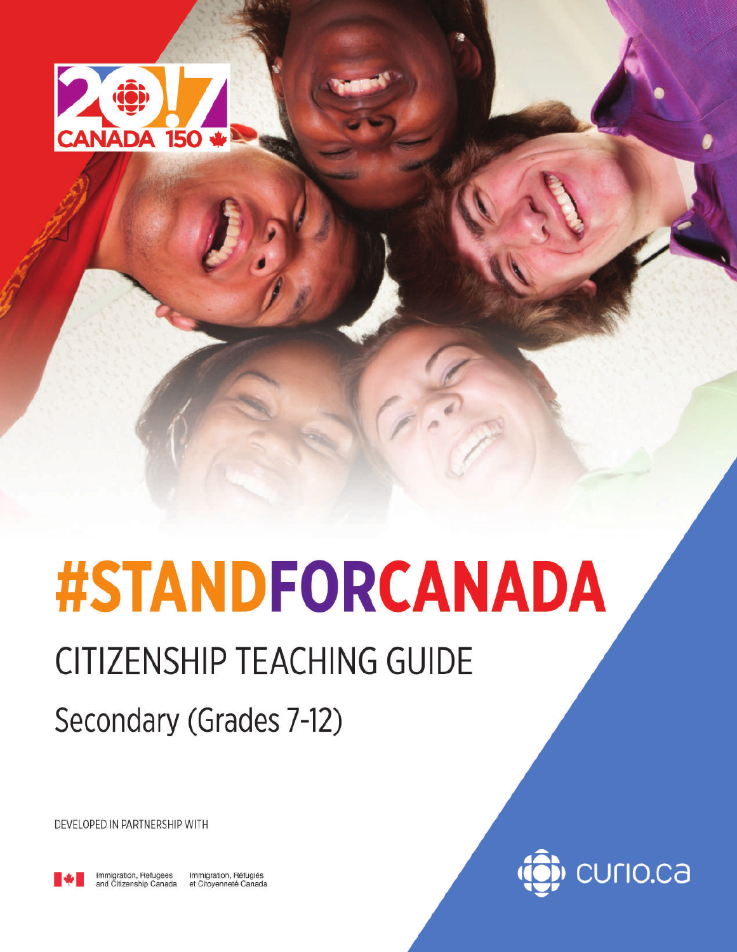

# **#STANDFORCANADA**

# **CITIZENSHIP TEACHING GUIDE**

Secondary (Grades 7-12)

DEVELOPED IN PARTNERSHIP WITH



Immigration, Refugees<br>and Citizenship Canada Immigration, Réfugiés<br>et Citoyenneté Canada

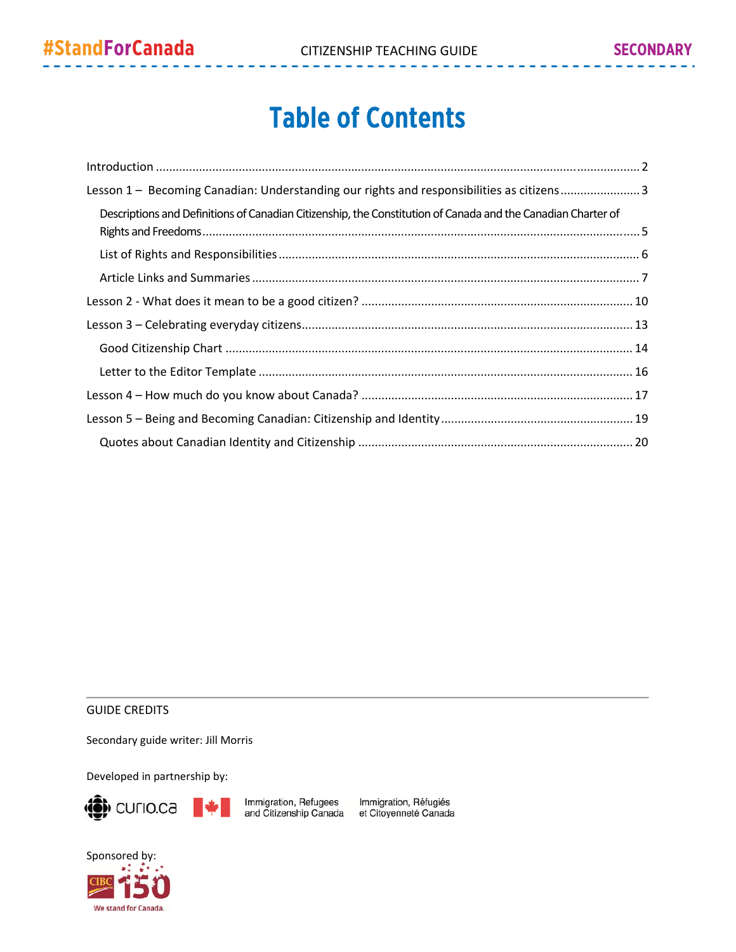# Table of Contents

| Lesson 1 - Becoming Canadian: Understanding our rights and responsibilities as citizens3                     |
|--------------------------------------------------------------------------------------------------------------|
| Descriptions and Definitions of Canadian Citizenship, the Constitution of Canada and the Canadian Charter of |
|                                                                                                              |
|                                                                                                              |
|                                                                                                              |
|                                                                                                              |
|                                                                                                              |
|                                                                                                              |
|                                                                                                              |
|                                                                                                              |
|                                                                                                              |

#### GUIDE CREDITS

Secondary guide writer: Jill Morris

Developed in partnership by:



Immigration, Refugees Immigration, Réfugiés<br>and Citizenship Canada et Citoyenneté Canada

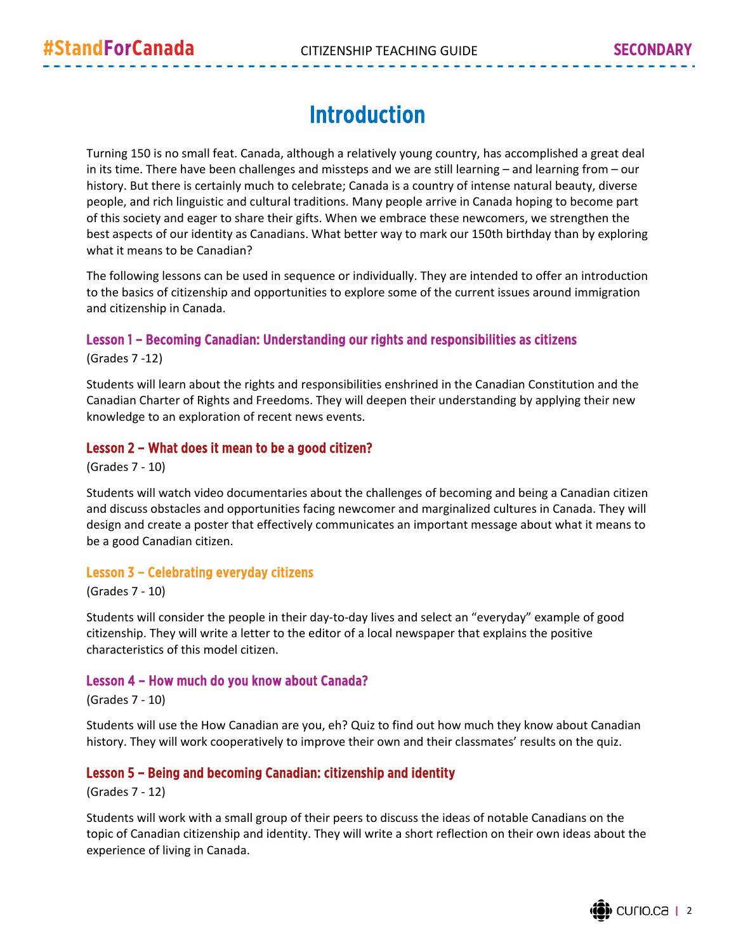# Introduction

Turning 150 is no small feat. Canada, although a relatively young country, has accomplished a great deal in its time. There have been challenges and missteps and we are still learning – and learning from – our history. But there is certainly much to celebrate; Canada is a country of intense natural beauty, diverse people, and rich linguistic and cultural traditions. Many people arrive in Canada hoping to become part of this society and eager to share their gifts. When we embrace these newcomers, we strengthen the best aspects of our identity as Canadians. What better way to mark our 150th birthday than by exploring what it means to be Canadian?

The following lessons can be used in sequence or individually. They are intended to offer an introduction to the basics of citizenship and opportunities to explore some of the current issues around immigration and citizenship in Canada.

#### Lesson 1 – Becoming Canadian: Understanding our rights and responsibilities as citizens

(Grades 7 ‐12)

Students will learn about the rights and responsibilities enshrined in the Canadian Constitution and the Canadian Charter of Rights and Freedoms. They will deepen their understanding by applying their new knowledge to an exploration of recent news events.

#### Lesson 2 – What does it mean to be a good citizen?

(Grades 7 ‐ 10)

Students will watch video documentaries about the challenges of becoming and being a Canadian citizen and discuss obstacles and opportunities facing newcomer and marginalized cultures in Canada. They will design and create a poster that effectively communicates an important message about what it means to be a good Canadian citizen.

#### Lesson 3 – Celebrating everyday citizens

(Grades 7 ‐ 10)

Students will consider the people in their day‐to‐day lives and select an "everyday" example of good citizenship. They will write a letter to the editor of a local newspaper that explains the positive characteristics of this model citizen.

#### Lesson 4 – How much do you know about Canada?

(Grades 7 ‐ 10)

Students will use the How Canadian are you, eh? Quiz to find out how much they know about Canadian history. They will work cooperatively to improve their own and their classmates' results on the quiz.

#### Lesson 5 – Being and becoming Canadian: citizenship and identity

(Grades 7 ‐ 12)

Students will work with a small group of their peers to discuss the ideas of notable Canadians on the topic of Canadian citizenship and identity. They will write a short reflection on their own ideas about the experience of living in Canada.

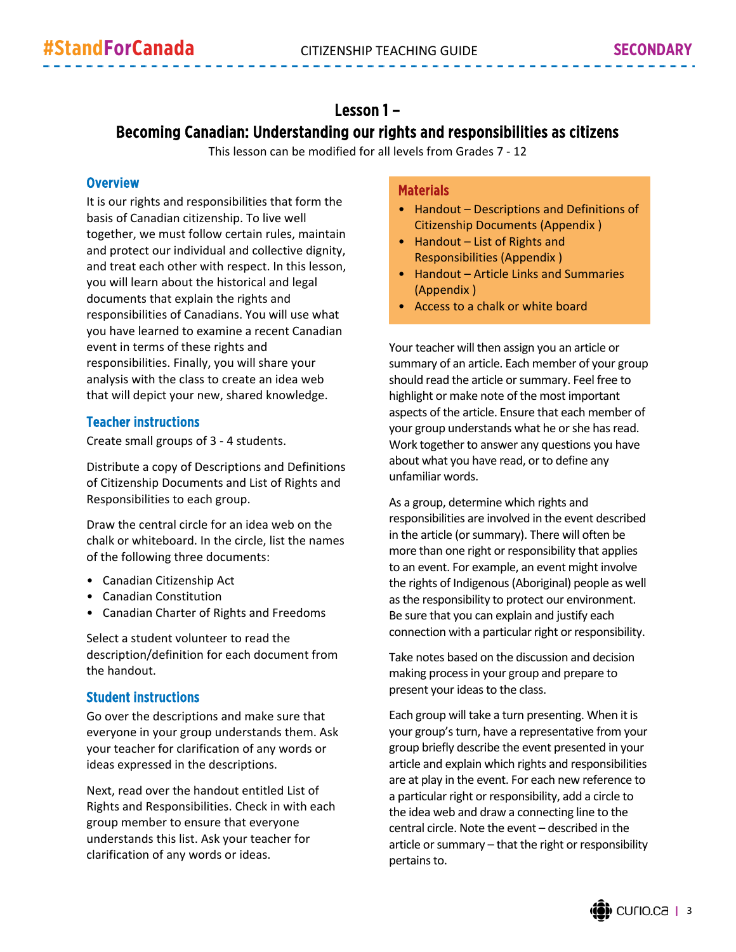### Lesson 1 – Becoming Canadian: Understanding our rights and responsibilities as citizens

This lesson can be modified for all levels from Grades 7 ‐ 12

#### **Overview**

It is our rights and responsibilities that form the basis of Canadian citizenship. To live well together, we must follow certain rules, maintain and protect our individual and collective dignity, and treat each other with respect. In this lesson, you will learn about the historical and legal documents that explain the rights and responsibilities of Canadians. You will use what you have learned to examine a recent Canadian event in terms of these rights and responsibilities. Finally, you will share your analysis with the class to create an idea web that will depict your new, shared knowledge.

#### Teacher instructions

Create small groups of 3 ‐ 4 students.

Distribute a copy of Descriptions and Definitions of Citizenship Documents and List of Rights and Responsibilities to each group.

Draw the central circle for an idea web on the chalk or whiteboard. In the circle, list the names of the following three documents:

- Canadian Citizenship Act
- Canadian Constitution
- Canadian Charter of Rights and Freedoms

Select a student volunteer to read the description/definition for each document from the handout.

#### Student instructions

Go over the descriptions and make sure that everyone in your group understands them. Ask your teacher for clarification of any words or ideas expressed in the descriptions.

Next, read over the handout entitled List of Rights and Responsibilities. Check in with each group member to ensure that everyone understands this list. Ask your teacher for clarification of any words or ideas.

#### **Materials**

- Handout Descriptions and Definitions of Citizenship Documents (Appendix )
- Handout List of Rights and Responsibilities (Appendix )
- Handout Article Links and Summaries (Appendix )
- Access to a chalk or white board

Your teacher will then assign you an article or summary of an article. Each member of your group should read the article or summary. Feel free to highlight or make note of the most important aspects of the article. Ensure that each member of your group understands what he or she has read. Work together to answer any questions you have about what you have read, or to define any unfamiliar words.

As a group, determine which rights and responsibilities are involved in the event described in the article (or summary). There will often be more than one right or responsibility that applies to an event. For example, an event might involve the rights of Indigenous(Aboriginal) people as well asthe responsibility to protect our environment. Be sure that you can explain and justify each connection with a particular right or responsibility.

Take notes based on the discussion and decision making processin your group and prepare to present your ideas to the class.

Each group will take a turn presenting. When it is your group's turn, have a representative from your group briefly describe the event presented in your article and explain which rights and responsibilities are at play in the event. For each new reference to a particular right or responsibility, add a circle to the idea web and draw a connecting line to the central circle. Note the event – described in the article or summary – that the right or responsibility pertains to.

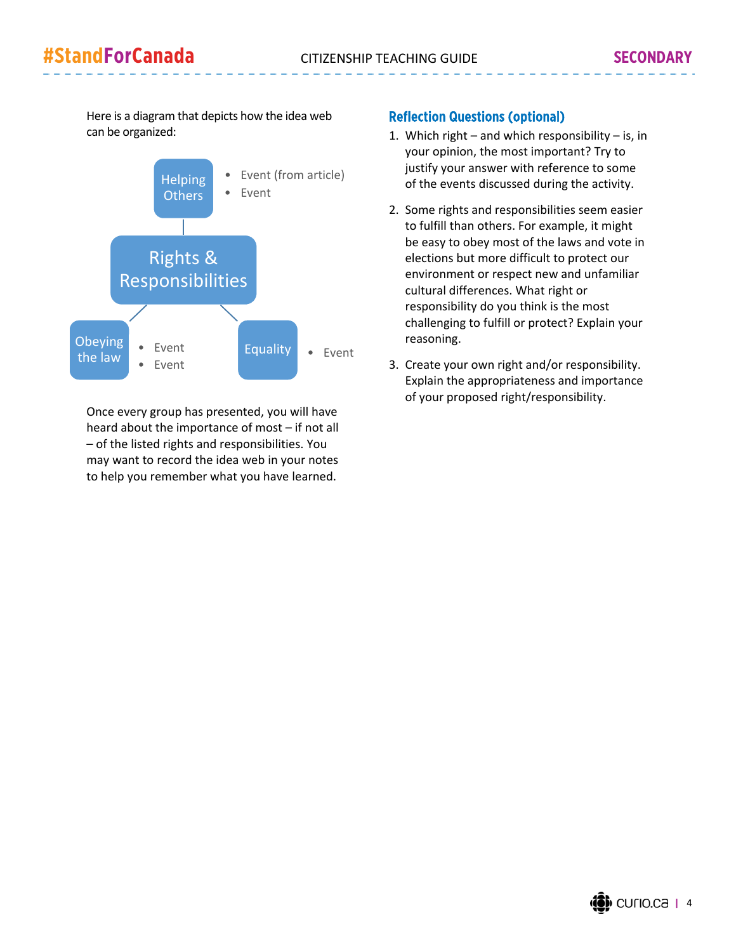Here is a diagram that depicts how the idea web can be organized:



Once every group has presented, you will have heard about the importance of most – if not all – of the listed rights and responsibilities. You may want to record the idea web in your notes to help you remember what you have learned.

#### Reflection Questions (optional)

- 1. Which right and which responsibility is, in your opinion, the most important? Try to justify your answer with reference to some of the events discussed during the activity.
- 2. Some rights and responsibilities seem easier to fulfill than others. For example, it might be easy to obey most of the laws and vote in elections but more difficult to protect our environment or respect new and unfamiliar cultural differences. What right or responsibility do you think is the most challenging to fulfill or protect? Explain your reasoning.
- 3. Create your own right and/or responsibility. Explain the appropriateness and importance of your proposed right/responsibility.

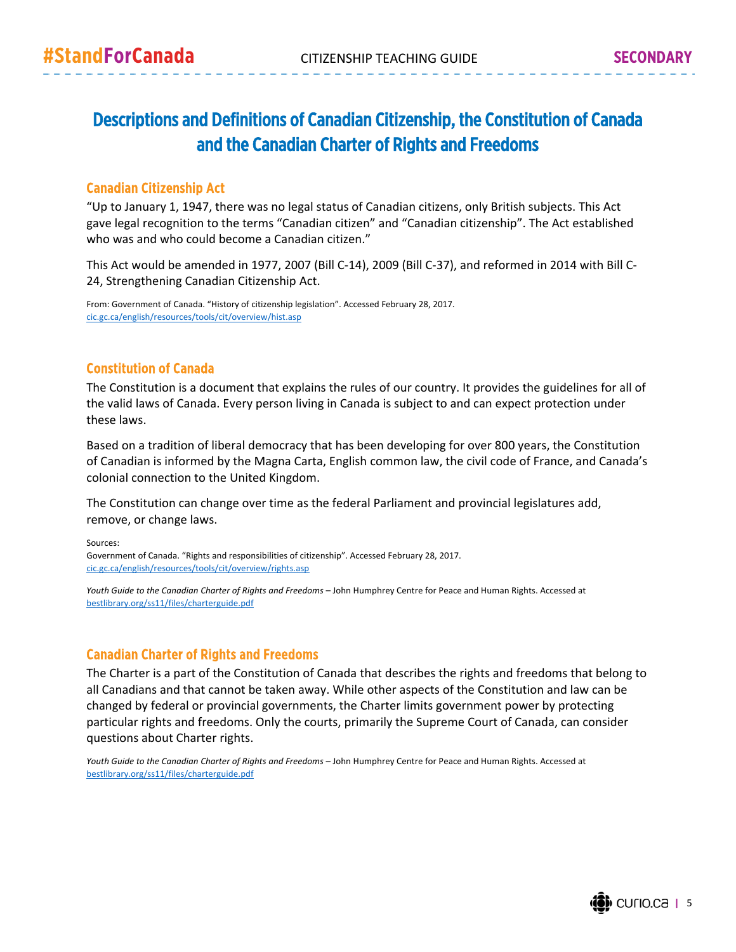## Descriptions and Definitions of Canadian Citizenship, the Constitution of Canada and the Canadian Charter of Rights and Freedoms

#### Canadian Citizenship Act

"Up to January 1, 1947, there was no legal status of Canadian citizens, only British subjects. This Act gave legal recognition to the terms "Canadian citizen" and "Canadian citizenship". The Act established who was and who could become a Canadian citizen."

This Act would be amended in 1977, 2007 (Bill C‐14), 2009 (Bill C‐37), and reformed in 2014 with Bill C‐ 24, Strengthening Canadian Citizenship Act.

From: Government of Canada. "History of citizenship legislation". Accessed February 28, 2017. cic.gc.ca/english/resources/tools/cit/overview/hist.asp

#### Constitution of Canada

The Constitution is a document that explains the rules of our country. It provides the guidelines for all of the valid laws of Canada. Every person living in Canada is subject to and can expect protection under these laws.

Based on a tradition of liberal democracy that has been developing for over 800 years, the Constitution of Canadian is informed by the Magna Carta, English common law, the civil code of France, and Canada's colonial connection to the United Kingdom.

The Constitution can change over time as the federal Parliament and provincial legislatures add, remove, or change laws.

Sources: Government of Canada. "Rights and responsibilities of citizenship". Accessed February 28, 2017. cic.gc.ca/english/resources/tools/cit/overview/rights.asp

*Youth Guide to the Canadian Charter of Rights and Freedoms* – John Humphrey Centre for Peace and Human Rights. Accessed at bestlibrary.org/ss11/files/charterguide.pdf

#### Canadian Charter of Rights and Freedoms

The Charter is a part of the Constitution of Canada that describes the rights and freedoms that belong to all Canadians and that cannot be taken away. While other aspects of the Constitution and law can be changed by federal or provincial governments, the Charter limits government power by protecting particular rights and freedoms. Only the courts, primarily the Supreme Court of Canada, can consider questions about Charter rights.

*Youth Guide to the Canadian Charter of Rights and Freedoms* – John Humphrey Centre for Peace and Human Rights. Accessed at bestlibrary.org/ss11/files/charterguide.pdf

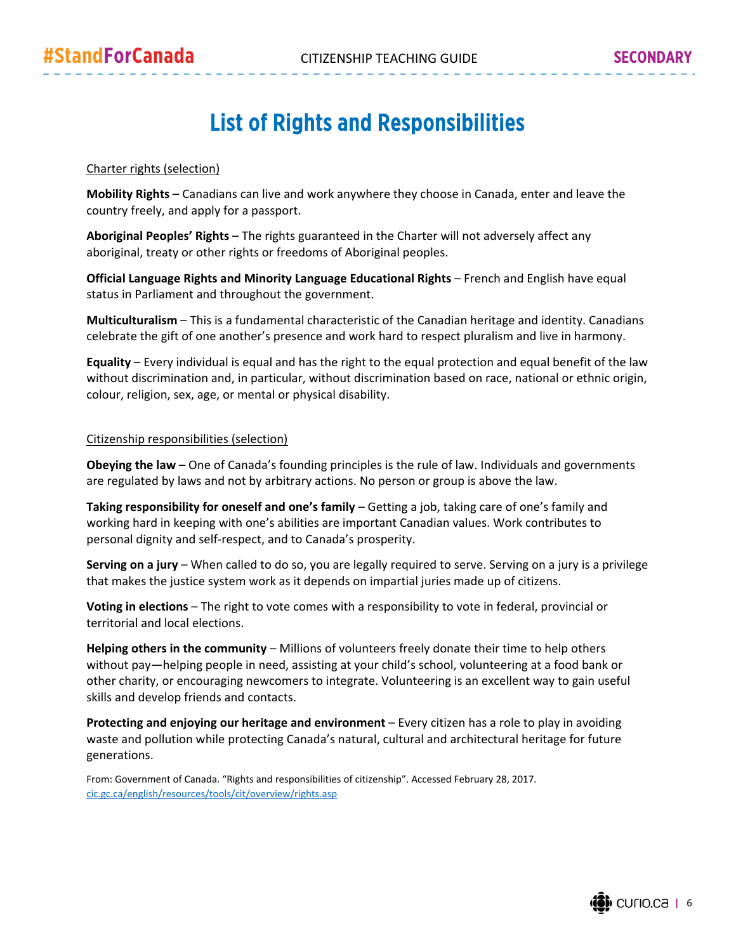## List of Rights and Responsibilities

#### Charter rights (selection)

**Mobility Rights** – Canadians can live and work anywhere they choose in Canada, enter and leave the country freely, and apply for a passport.

**Aboriginal Peoples' Rights** – The rights guaranteed in the Charter will not adversely affect any aboriginal, treaty or other rights or freedoms of Aboriginal peoples.

**Official Language Rights and Minority Language Educational Rights** – French and English have equal status in Parliament and throughout the government.

**Multiculturalism** – This is a fundamental characteristic of the Canadian heritage and identity. Canadians celebrate the gift of one another's presence and work hard to respect pluralism and live in harmony.

**Equality** – Every individual is equal and has the right to the equal protection and equal benefit of the law without discrimination and, in particular, without discrimination based on race, national or ethnic origin, colour, religion, sex, age, or mental or physical disability.

#### Citizenship responsibilities (selection)

**Obeying the law** – One of Canada's founding principles is the rule of law. Individuals and governments are regulated by laws and not by arbitrary actions. No person or group is above the law.

**Taking responsibility for oneself and one's family** – Getting a job, taking care of one's family and working hard in keeping with one's abilities are important Canadian values. Work contributes to personal dignity and self‐respect, and to Canada's prosperity.

**Serving on a jury** – When called to do so, you are legally required to serve. Serving on a jury is a privilege that makes the justice system work as it depends on impartial juries made up of citizens.

**Voting in elections** – The right to vote comes with a responsibility to vote in federal, provincial or territorial and local elections.

**Helping others in the community** – Millions of volunteers freely donate their time to help others without pay—helping people in need, assisting at your child's school, volunteering at a food bank or other charity, or encouraging newcomers to integrate. Volunteering is an excellent way to gain useful skills and develop friends and contacts.

**Protecting and enjoying our heritage and environment** – Every citizen has a role to play in avoiding waste and pollution while protecting Canada's natural, cultural and architectural heritage for future generations.

From: Government of Canada. "Rights and responsibilities of citizenship". Accessed February 28, 2017. cic.gc.ca/english/resources/tools/cit/overview/rights.asp

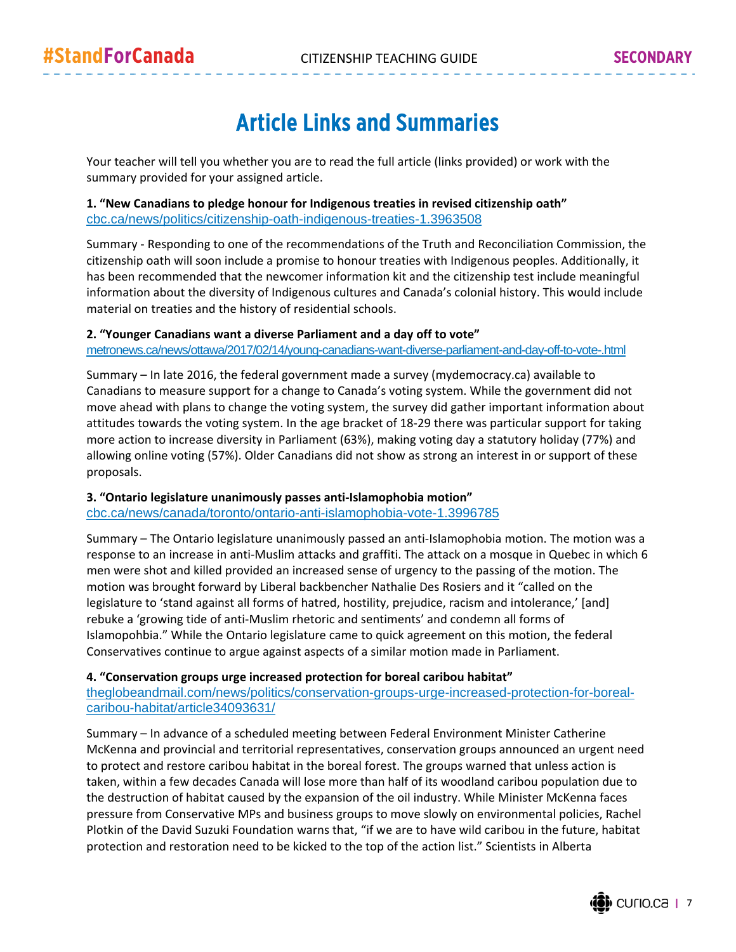# Article Links and Summaries

Your teacher will tell you whether you are to read the full article (links provided) or work with the summary provided for your assigned article.

#### **1. "New Canadians to pledge honour for Indigenous treaties in revised citizenship oath"** cbc.ca/news/politics/citizenship-oath-indigenous-treaties-1.3963508

Summary ‐ Responding to one of the recommendations of the Truth and Reconciliation Commission, the citizenship oath will soon include a promise to honour treaties with Indigenous peoples. Additionally, it has been recommended that the newcomer information kit and the citizenship test include meaningful information about the diversity of Indigenous cultures and Canada's colonial history. This would include material on treaties and the history of residential schools.

#### **2. "Younger Canadians want a diverse Parliament and a day off to vote"**

metronews.ca/news/ottawa/2017/02/14/young-canadians-want-diverse-parliament-and-day-off-to-vote-.html

Summary – In late 2016, the federal government made a survey (mydemocracy.ca) available to Canadians to measure support for a change to Canada's voting system. While the government did not move ahead with plans to change the voting system, the survey did gather important information about attitudes towards the voting system. In the age bracket of 18‐29 there was particular support for taking more action to increase diversity in Parliament (63%), making voting day a statutory holiday (77%) and allowing online voting (57%). Older Canadians did not show as strong an interest in or support of these proposals.

#### **3. "Ontario legislature unanimously passes anti‐Islamophobia motion"**

cbc.ca/news/canada/toronto/ontario-anti-islamophobia-vote-1.3996785

Summary – The Ontario legislature unanimously passed an anti‐Islamophobia motion. The motion was a response to an increase in anti‐Muslim attacks and graffiti. The attack on a mosque in Quebec in which 6 men were shot and killed provided an increased sense of urgency to the passing of the motion. The motion was brought forward by Liberal backbencher Nathalie Des Rosiers and it "called on the legislature to 'stand against all forms of hatred, hostility, prejudice, racism and intolerance,' [and] rebuke a 'growing tide of anti‐Muslim rhetoric and sentiments' and condemn all forms of Islamopohbia." While the Ontario legislature came to quick agreement on this motion, the federal Conservatives continue to argue against aspects of a similar motion made in Parliament.

#### **4. "Conservation groups urge increased protection for boreal caribou habitat"**

theglobeandmail.com/news/politics/conservation-groups-urge-increased-protection-for-borealcaribou-habitat/article34093631/

Summary – In advance of a scheduled meeting between Federal Environment Minister Catherine McKenna and provincial and territorial representatives, conservation groups announced an urgent need to protect and restore caribou habitat in the boreal forest. The groups warned that unless action is taken, within a few decades Canada will lose more than half of its woodland caribou population due to the destruction of habitat caused by the expansion of the oil industry. While Minister McKenna faces pressure from Conservative MPs and business groups to move slowly on environmental policies, Rachel Plotkin of the David Suzuki Foundation warns that, "if we are to have wild caribou in the future, habitat protection and restoration need to be kicked to the top of the action list." Scientists in Alberta

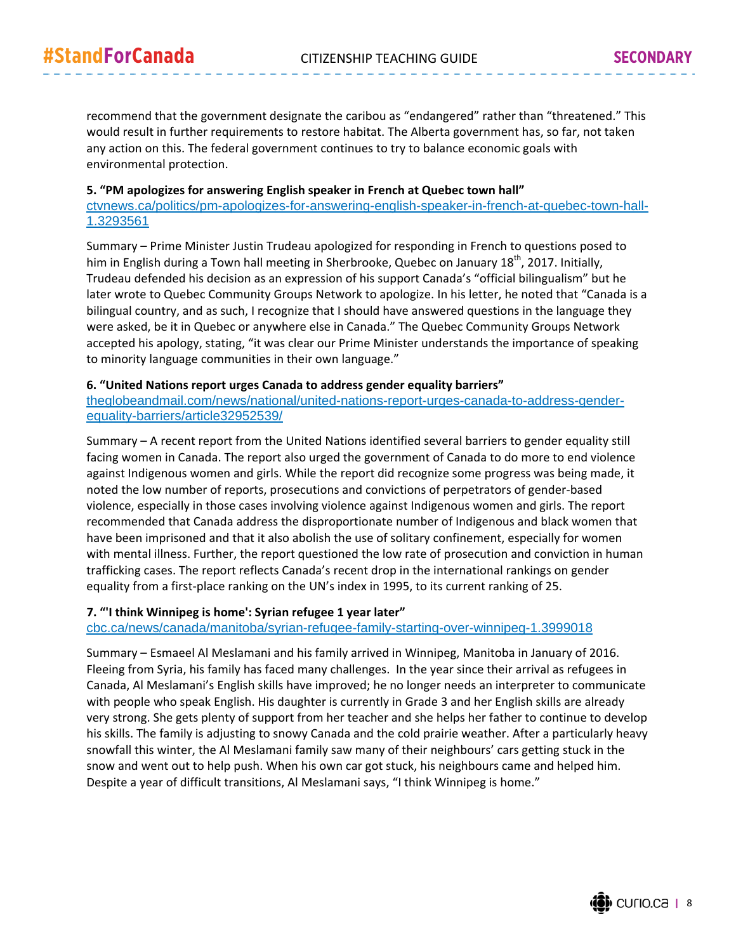recommend that the government designate the caribou as "endangered" rather than "threatened." This would result in further requirements to restore habitat. The Alberta government has, so far, not taken any action on this. The federal government continues to try to balance economic goals with environmental protection.

#### **5. "PM apologizes for answering English speaker in French at Quebec town hall"** ctvnews.ca/politics/pm-apologizes-for-answering-english-speaker-in-french-at-quebec-town-hall-1.3293561

Summary – Prime Minister Justin Trudeau apologized for responding in French to questions posed to him in English during a Town hall meeting in Sherbrooke, Quebec on January 18<sup>th</sup>, 2017. Initially, Trudeau defended his decision as an expression of his support Canada's "official bilingualism" but he later wrote to Quebec Community Groups Network to apologize. In his letter, he noted that "Canada is a bilingual country, and as such, I recognize that I should have answered questions in the language they were asked, be it in Quebec or anywhere else in Canada." The Quebec Community Groups Network accepted his apology, stating, "it was clear our Prime Minister understands the importance of speaking to minority language communities in their own language."

#### **6. "United Nations report urges Canada to address gender equality barriers"**

theglobeandmail.com/news/national/united-nations-report-urges-canada-to-address-genderequality-barriers/article32952539/

Summary – A recent report from the United Nations identified several barriers to gender equality still facing women in Canada. The report also urged the government of Canada to do more to end violence against Indigenous women and girls. While the report did recognize some progress was being made, it noted the low number of reports, prosecutions and convictions of perpetrators of gender‐based violence, especially in those cases involving violence against Indigenous women and girls. The report recommended that Canada address the disproportionate number of Indigenous and black women that have been imprisoned and that it also abolish the use of solitary confinement, especially for women with mental illness. Further, the report questioned the low rate of prosecution and conviction in human trafficking cases. The report reflects Canada's recent drop in the international rankings on gender equality from a first-place ranking on the UN's index in 1995, to its current ranking of 25.

#### **7. "'I think Winnipeg is home': Syrian refugee 1 year later"**

cbc.ca/news/canada/manitoba/syrian-refugee-family-starting-over-winnipeg-1.3999018

Summary – Esmaeel Al Meslamani and his family arrived in Winnipeg, Manitoba in January of 2016. Fleeing from Syria, his family has faced many challenges. In the year since their arrival as refugees in Canada, Al Meslamani's English skills have improved; he no longer needs an interpreter to communicate with people who speak English. His daughter is currently in Grade 3 and her English skills are already very strong. She gets plenty of support from her teacher and she helps her father to continue to develop his skills. The family is adjusting to snowy Canada and the cold prairie weather. After a particularly heavy snowfall this winter, the Al Meslamani family saw many of their neighbours' cars getting stuck in the snow and went out to help push. When his own car got stuck, his neighbours came and helped him. Despite a year of difficult transitions, Al Meslamani says, "I think Winnipeg is home."

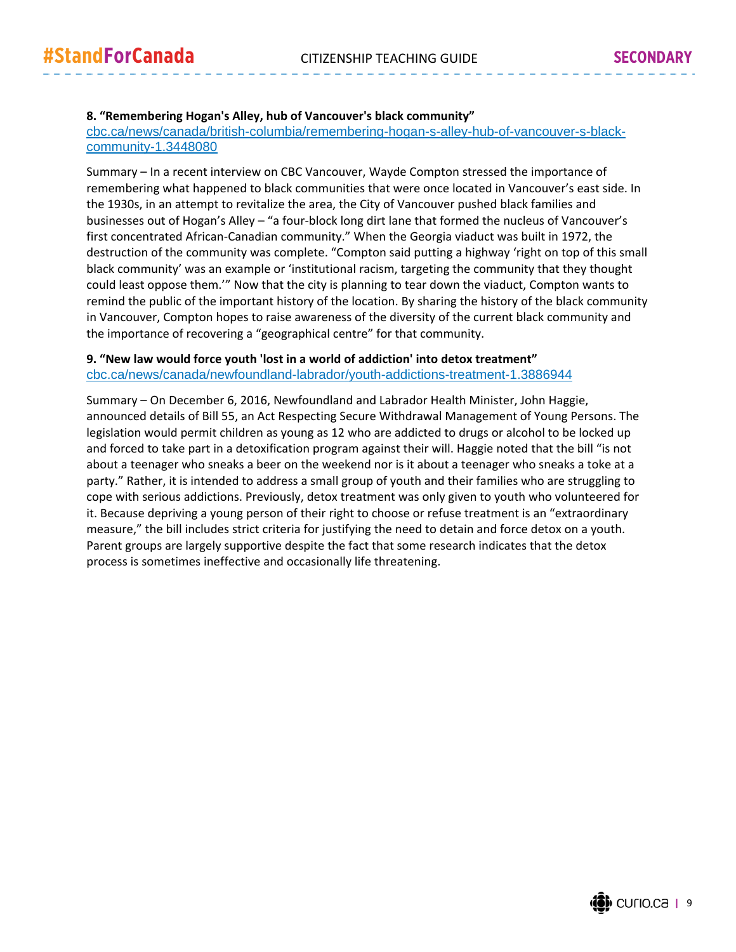#### **8. "Remembering Hogan's Alley, hub of Vancouver's black community"**

cbc.ca/news/canada/british-columbia/remembering-hogan-s-alley-hub-of-vancouver-s-blackcommunity-1.3448080

Summary – In a recent interview on CBC Vancouver, Wayde Compton stressed the importance of remembering what happened to black communities that were once located in Vancouver's east side. In the 1930s, in an attempt to revitalize the area, the City of Vancouver pushed black families and businesses out of Hogan's Alley – "a four‐block long dirt lane that formed the nucleus of Vancouver's first concentrated African-Canadian community." When the Georgia viaduct was built in 1972, the destruction of the community was complete. "Compton said putting a highway 'right on top of this small black community' was an example or 'institutional racism, targeting the community that they thought could least oppose them.'" Now that the city is planning to tear down the viaduct, Compton wants to remind the public of the important history of the location. By sharing the history of the black community in Vancouver, Compton hopes to raise awareness of the diversity of the current black community and the importance of recovering a "geographical centre" for that community.

#### **9. "New law would force youth 'lost in a world of addiction' into detox treatment"** cbc.ca/news/canada/newfoundland-labrador/youth-addictions-treatment-1.3886944

Summary – On December 6, 2016, Newfoundland and Labrador Health Minister, John Haggie, announced details of Bill 55, an Act Respecting Secure Withdrawal Management of Young Persons. The legislation would permit children as young as 12 who are addicted to drugs or alcohol to be locked up and forced to take part in a detoxification program against their will. Haggie noted that the bill "is not about a teenager who sneaks a beer on the weekend nor is it about a teenager who sneaks a toke at a party." Rather, it is intended to address a small group of youth and their families who are struggling to cope with serious addictions. Previously, detox treatment was only given to youth who volunteered for it. Because depriving a young person of their right to choose or refuse treatment is an "extraordinary measure," the bill includes strict criteria for justifying the need to detain and force detox on a youth. Parent groups are largely supportive despite the fact that some research indicates that the detox process is sometimes ineffective and occasionally life threatening.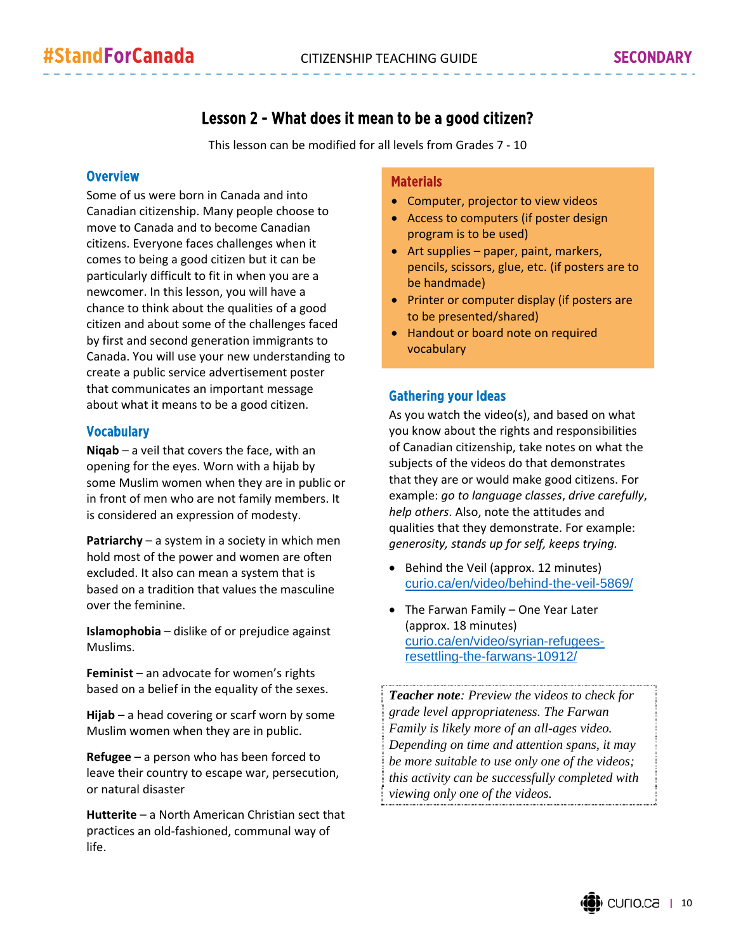## Lesson 2 - What does it mean to be a good citizen?

This lesson can be modified for all levels from Grades 7 ‐ 10

#### **Overview**

Some of us were born in Canada and into Canadian citizenship. Many people choose to move to Canada and to become Canadian citizens. Everyone faces challenges when it comes to being a good citizen but it can be particularly difficult to fit in when you are a newcomer. In this lesson, you will have a chance to think about the qualities of a good citizen and about some of the challenges faced by first and second generation immigrants to Canada. You will use your new understanding to create a public service advertisement poster that communicates an important message about what it means to be a good citizen.

#### Vocabulary

**Niqab** – a veil that covers the face, with an opening for the eyes. Worn with a hijab by some Muslim women when they are in public or in front of men who are not family members. It is considered an expression of modesty.

**Patriarchy** – a system in a society in which men hold most of the power and women are often excluded. It also can mean a system that is based on a tradition that values the masculine over the feminine.

**Islamophobia** – dislike of or prejudice against Muslims.

**Feminist** – an advocate for women's rights based on a belief in the equality of the sexes.

**Hijab** – a head covering or scarf worn by some Muslim women when they are in public.

**Refugee** – a person who has been forced to leave their country to escape war, persecution, or natural disaster

**Hutterite** – a North American Christian sect that practices an old‐fashioned, communal way of life.

#### **Materials**

- Computer, projector to view videos
- Access to computers (if poster design program is to be used)
- Art supplies paper, paint, markers, pencils, scissors, glue, etc. (if posters are to be handmade)
- Printer or computer display (if posters are to be presented/shared)
- Handout or board note on required vocabulary

#### Gathering your Ideas

As you watch the video(s), and based on what you know about the rights and responsibilities of Canadian citizenship, take notes on what the subjects of the videos do that demonstrates that they are or would make good citizens. For example: *go to language classes*, *drive carefully*, *help others*. Also, note the attitudes and qualities that they demonstrate. For example: *generosity, stands up for self, keeps trying.*

- Behind the Veil (approx. 12 minutes) curio.ca/en/video/behind-the-veil-5869/
- The Farwan Family One Year Later (approx. 18 minutes) curio.ca/en/video/syrian-refugeesresettling-the-farwans-10912/

*Teacher note: Preview the videos to check for grade level appropriateness. The Farwan Family is likely more of an all-ages video. Depending on time and attention spans, it may be more suitable to use only one of the videos; this activity can be successfully completed with viewing only one of the videos.*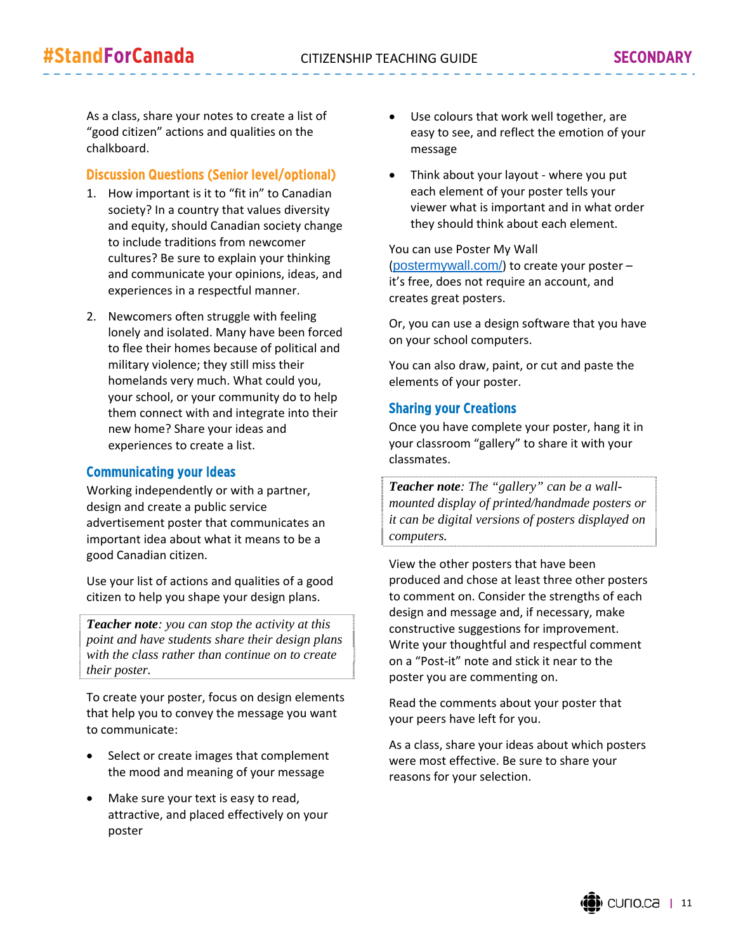As a class, share your notes to create a list of "good citizen" actions and qualities on the chalkboard.

#### Discussion Questions (Senior level/optional)

- 1. How important is it to "fit in" to Canadian society? In a country that values diversity and equity, should Canadian society change to include traditions from newcomer cultures? Be sure to explain your thinking and communicate your opinions, ideas, and experiences in a respectful manner.
- 2. Newcomers often struggle with feeling lonely and isolated. Many have been forced to flee their homes because of political and military violence; they still miss their homelands very much. What could you, your school, or your community do to help them connect with and integrate into their new home? Share your ideas and experiences to create a list.

#### Communicating your Ideas

Working independently or with a partner, design and create a public service advertisement poster that communicates an important idea about what it means to be a good Canadian citizen.

Use your list of actions and qualities of a good citizen to help you shape your design plans.

*Teacher note: you can stop the activity at this point and have students share their design plans with the class rather than continue on to create their poster.*

To create your poster, focus on design elements that help you to convey the message you want to communicate:

- Select or create images that complement the mood and meaning of your message
- Make sure your text is easy to read, attractive, and placed effectively on your poster
- Use colours that work well together, are easy to see, and reflect the emotion of your message
- Think about your layout ‐ where you put each element of your poster tells your viewer what is important and in what order they should think about each element.

You can use Poster My Wall (postermywall.com/) to create your poster – it's free, does not require an account, and creates great posters.

Or, you can use a design software that you have on your school computers.

You can also draw, paint, or cut and paste the elements of your poster.

#### Sharing your Creations

Once you have complete your poster, hang it in your classroom "gallery" to share it with your classmates.

*Teacher note: The "gallery" can be a wallmounted display of printed/handmade posters or it can be digital versions of posters displayed on computers.* 

View the other posters that have been produced and chose at least three other posters to comment on. Consider the strengths of each design and message and, if necessary, make constructive suggestions for improvement. Write your thoughtful and respectful comment on a "Post‐it" note and stick it near to the poster you are commenting on.

Read the comments about your poster that your peers have left for you.

As a class, share your ideas about which posters were most effective. Be sure to share your reasons for your selection.

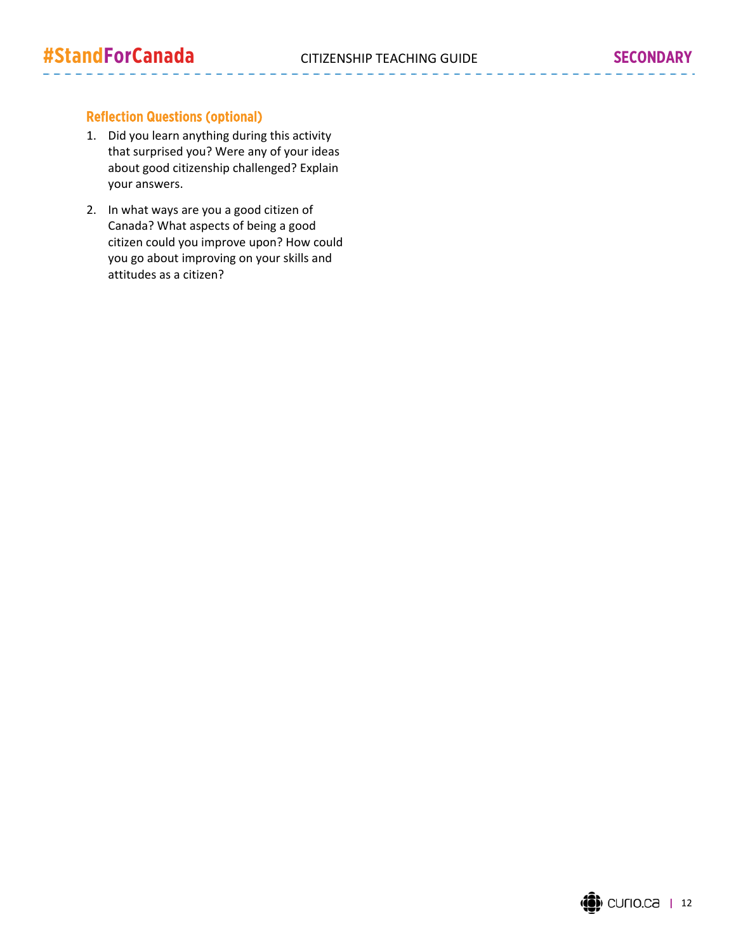## Reflection Questions (optional)

- 1. Did you learn anything during this activity that surprised you? Were any of your ideas about good citizenship challenged? Explain your answers.
- 2. In what ways are you a good citizen of Canada? What aspects of being a good citizen could you improve upon? How could you go about improving on your skills and attitudes as a citizen?

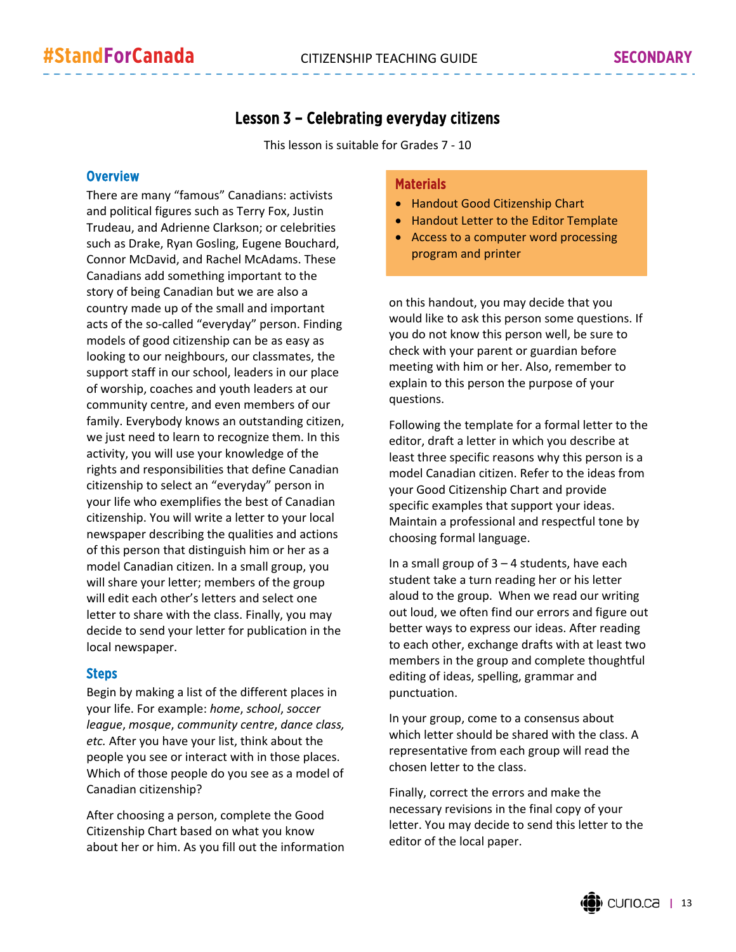## Lesson 3 – Celebrating everyday citizens

This lesson is suitable for Grades 7 ‐ 10

#### **Overview**

There are many "famous" Canadians: activists and political figures such as Terry Fox, Justin Trudeau, and Adrienne Clarkson; or celebrities such as Drake, Ryan Gosling, Eugene Bouchard, Connor McDavid, and Rachel McAdams. These Canadians add something important to the story of being Canadian but we are also a country made up of the small and important acts of the so-called "everyday" person. Finding models of good citizenship can be as easy as looking to our neighbours, our classmates, the support staff in our school, leaders in our place of worship, coaches and youth leaders at our community centre, and even members of our family. Everybody knows an outstanding citizen, we just need to learn to recognize them. In this activity, you will use your knowledge of the rights and responsibilities that define Canadian citizenship to select an "everyday" person in your life who exemplifies the best of Canadian citizenship. You will write a letter to your local newspaper describing the qualities and actions of this person that distinguish him or her as a model Canadian citizen. In a small group, you will share your letter; members of the group will edit each other's letters and select one letter to share with the class. Finally, you may decide to send your letter for publication in the local newspaper.

#### Steps

Begin by making a list of the different places in your life. For example: *home*, *school*, *soccer league*, *mosque*, *community centre*, *dance class, etc.* After you have your list, think about the people you see or interact with in those places. Which of those people do you see as a model of Canadian citizenship?

After choosing a person, complete the Good Citizenship Chart based on what you know about her or him. As you fill out the information

#### **Materials**

- Handout Good Citizenship Chart
- Handout Letter to the Editor Template
- Access to a computer word processing program and printer

on this handout, you may decide that you would like to ask this person some questions. If you do not know this person well, be sure to check with your parent or guardian before meeting with him or her. Also, remember to explain to this person the purpose of your questions.

Following the template for a formal letter to the editor, draft a letter in which you describe at least three specific reasons why this person is a model Canadian citizen. Refer to the ideas from your Good Citizenship Chart and provide specific examples that support your ideas. Maintain a professional and respectful tone by choosing formal language.

In a small group of  $3 - 4$  students, have each student take a turn reading her or his letter aloud to the group. When we read our writing out loud, we often find our errors and figure out better ways to express our ideas. After reading to each other, exchange drafts with at least two members in the group and complete thoughtful editing of ideas, spelling, grammar and punctuation.

In your group, come to a consensus about which letter should be shared with the class. A representative from each group will read the chosen letter to the class.

Finally, correct the errors and make the necessary revisions in the final copy of your letter. You may decide to send this letter to the editor of the local paper.

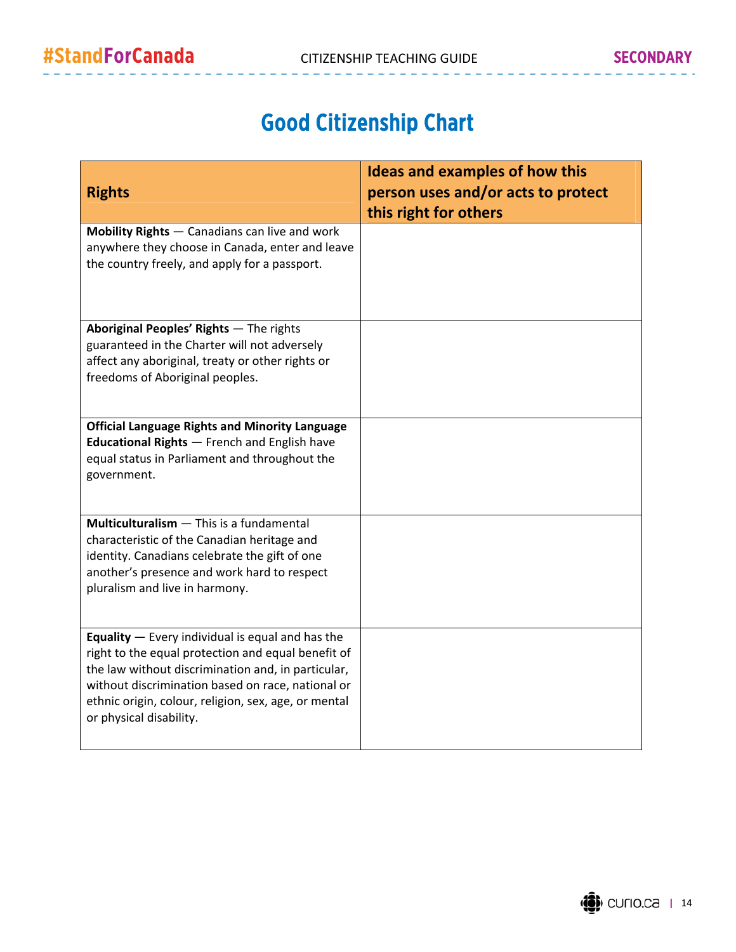# Good Citizenship Chart

| <b>Rights</b>                                                                                                                                                                                                                                                                                                 | <b>Ideas and examples of how this</b><br>person uses and/or acts to protect<br>this right for others |
|---------------------------------------------------------------------------------------------------------------------------------------------------------------------------------------------------------------------------------------------------------------------------------------------------------------|------------------------------------------------------------------------------------------------------|
| Mobility Rights - Canadians can live and work<br>anywhere they choose in Canada, enter and leave<br>the country freely, and apply for a passport.                                                                                                                                                             |                                                                                                      |
| Aboriginal Peoples' Rights - The rights<br>guaranteed in the Charter will not adversely<br>affect any aboriginal, treaty or other rights or<br>freedoms of Aboriginal peoples.                                                                                                                                |                                                                                                      |
| <b>Official Language Rights and Minority Language</b><br><b>Educational Rights - French and English have</b><br>equal status in Parliament and throughout the<br>government.                                                                                                                                  |                                                                                                      |
| Multiculturalism - This is a fundamental<br>characteristic of the Canadian heritage and<br>identity. Canadians celebrate the gift of one<br>another's presence and work hard to respect<br>pluralism and live in harmony.                                                                                     |                                                                                                      |
| <b>Equality</b> $-$ Every individual is equal and has the<br>right to the equal protection and equal benefit of<br>the law without discrimination and, in particular,<br>without discrimination based on race, national or<br>ethnic origin, colour, religion, sex, age, or mental<br>or physical disability. |                                                                                                      |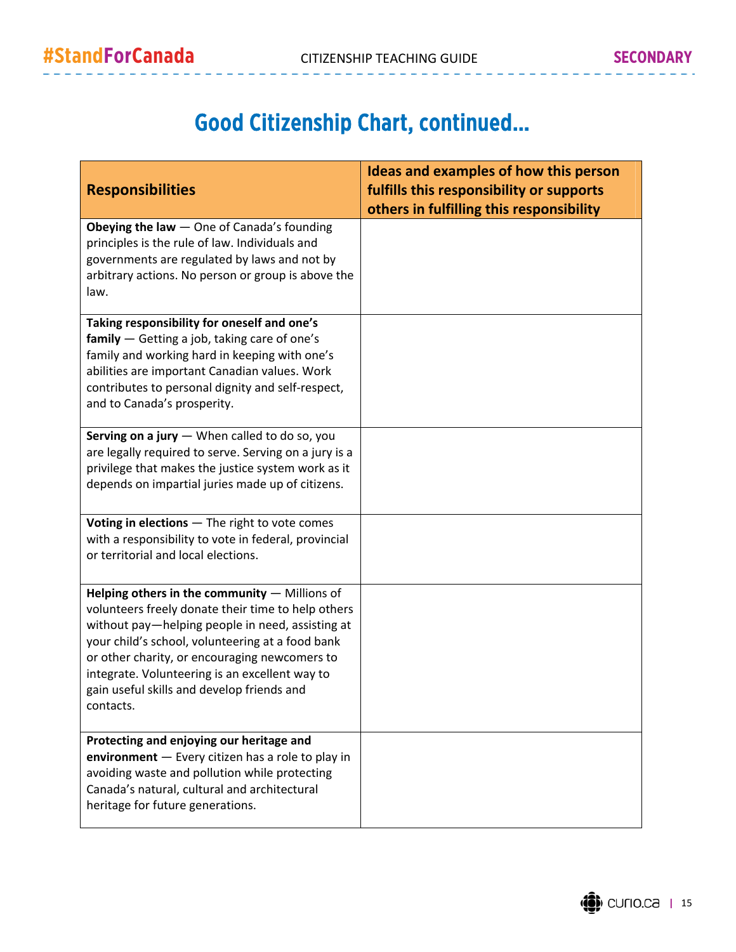# Good Citizenship Chart, continued…

|                                                                                                                                                                                                                                                                                                                                                                           | Ideas and examples of how this person    |
|---------------------------------------------------------------------------------------------------------------------------------------------------------------------------------------------------------------------------------------------------------------------------------------------------------------------------------------------------------------------------|------------------------------------------|
| <b>Responsibilities</b>                                                                                                                                                                                                                                                                                                                                                   | fulfills this responsibility or supports |
|                                                                                                                                                                                                                                                                                                                                                                           | others in fulfilling this responsibility |
| Obeying the law - One of Canada's founding<br>principles is the rule of law. Individuals and<br>governments are regulated by laws and not by<br>arbitrary actions. No person or group is above the<br>law.                                                                                                                                                                |                                          |
| Taking responsibility for oneself and one's<br>$family$ - Getting a job, taking care of one's<br>family and working hard in keeping with one's<br>abilities are important Canadian values. Work<br>contributes to personal dignity and self-respect,<br>and to Canada's prosperity.                                                                                       |                                          |
| Serving on a jury - When called to do so, you<br>are legally required to serve. Serving on a jury is a<br>privilege that makes the justice system work as it<br>depends on impartial juries made up of citizens.                                                                                                                                                          |                                          |
| Voting in elections - The right to vote comes<br>with a responsibility to vote in federal, provincial<br>or territorial and local elections.                                                                                                                                                                                                                              |                                          |
| Helping others in the community - Millions of<br>volunteers freely donate their time to help others<br>without pay-helping people in need, assisting at<br>your child's school, volunteering at a food bank<br>or other charity, or encouraging newcomers to<br>integrate. Volunteering is an excellent way to<br>gain useful skills and develop friends and<br>contacts. |                                          |
| Protecting and enjoying our heritage and<br>environment - Every citizen has a role to play in<br>avoiding waste and pollution while protecting<br>Canada's natural, cultural and architectural<br>heritage for future generations.                                                                                                                                        |                                          |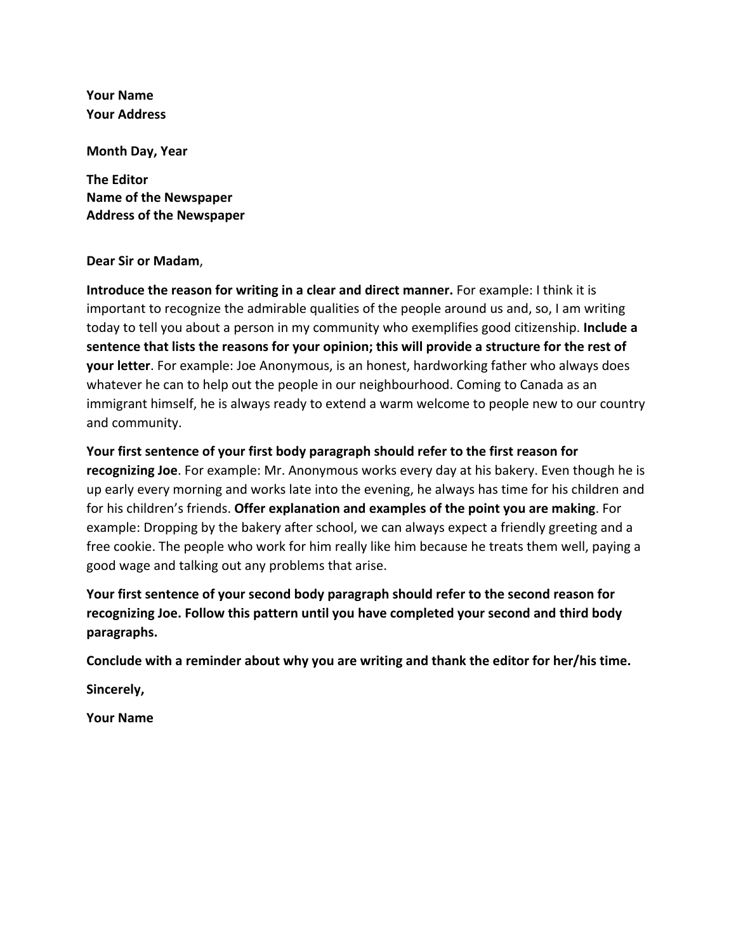**Your Name Your Address** 

**Month Day, Year**

**The Editor Name of the Newspaper Address of the Newspaper**

#### **Dear Sir or Madam**,

**Introduce the reason for writing in a clear and direct manner.** For example: I think it is important to recognize the admirable qualities of the people around us and, so, I am writing today to tell you about a person in my community who exemplifies good citizenship. **Include a sentence that lists the reasons for your opinion; this will provide a structure for the rest of your letter**. For example: Joe Anonymous, is an honest, hardworking father who always does whatever he can to help out the people in our neighbourhood. Coming to Canada as an immigrant himself, he is always ready to extend a warm welcome to people new to our country and community.

**Your first sentence of your first body paragraph should refer to the first reason for**

**recognizing Joe**. For example: Mr. Anonymous works every day at his bakery. Even though he is up early every morning and works late into the evening, he always has time for his children and for his children's friends. **Offer explanation and examples of the point you are making**. For example: Dropping by the bakery after school, we can always expect a friendly greeting and a free cookie. The people who work for him really like him because he treats them well, paying a good wage and talking out any problems that arise.

**Your first sentence of your second body paragraph should refer to the second reason for recognizing Joe. Follow this pattern until you have completed your second and third body paragraphs.** 

**Conclude with a reminder about why you are writing and thank the editor for her/his time.** 

**Sincerely,**

**Your Name**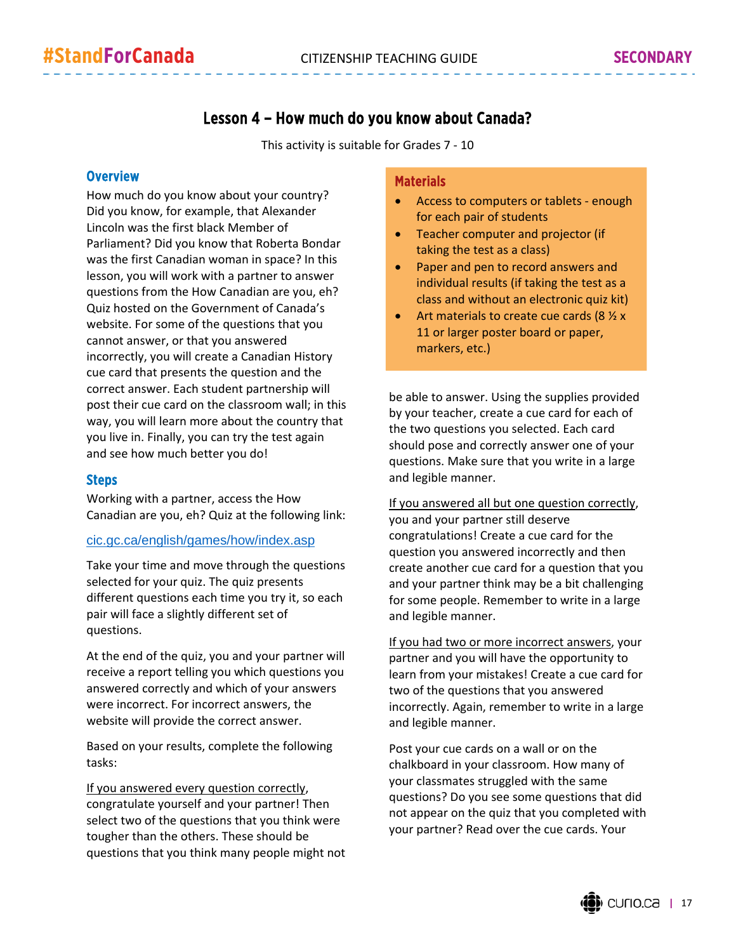## Lesson 4 – How much do you know about Canada?

This activity is suitable for Grades 7 ‐ 10

#### **Overview**

How much do you know about your country? Did you know, for example, that Alexander Lincoln was the first black Member of Parliament? Did you know that Roberta Bondar was the first Canadian woman in space? In this lesson, you will work with a partner to answer questions from the How Canadian are you, eh? Quiz hosted on the Government of Canada's website. For some of the questions that you cannot answer, or that you answered incorrectly, you will create a Canadian History cue card that presents the question and the correct answer. Each student partnership will post their cue card on the classroom wall; in this way, you will learn more about the country that you live in. Finally, you can try the test again and see how much better you do!

#### Steps

Working with a partner, access the How Canadian are you, eh? Quiz at the following link:

#### cic.gc.ca/english/games/how/index.asp

Take your time and move through the questions selected for your quiz. The quiz presents different questions each time you try it, so each pair will face a slightly different set of questions.

At the end of the quiz, you and your partner will receive a report telling you which questions you answered correctly and which of your answers were incorrect. For incorrect answers, the website will provide the correct answer.

Based on your results, complete the following tasks:

If you answered every question correctly, congratulate yourself and your partner! Then select two of the questions that you think were tougher than the others. These should be questions that you think many people might not

#### **Materials**

- Access to computers or tablets ‐ enough for each pair of students
- Teacher computer and projector (if taking the test as a class)
- Paper and pen to record answers and individual results (if taking the test as a class and without an electronic quiz kit)
- Art materials to create cue cards ( $8\frac{1}{2}x$ 11 or larger poster board or paper, markers, etc.)

be able to answer. Using the supplies provided by your teacher, create a cue card for each of the two questions you selected. Each card should pose and correctly answer one of your questions. Make sure that you write in a large and legible manner.

If you answered all but one question correctly, you and your partner still deserve congratulations! Create a cue card for the question you answered incorrectly and then create another cue card for a question that you and your partner think may be a bit challenging for some people. Remember to write in a large and legible manner.

If you had two or more incorrect answers, your partner and you will have the opportunity to learn from your mistakes! Create a cue card for two of the questions that you answered incorrectly. Again, remember to write in a large and legible manner.

Post your cue cards on a wall or on the chalkboard in your classroom. How many of your classmates struggled with the same questions? Do you see some questions that did not appear on the quiz that you completed with your partner? Read over the cue cards. Your

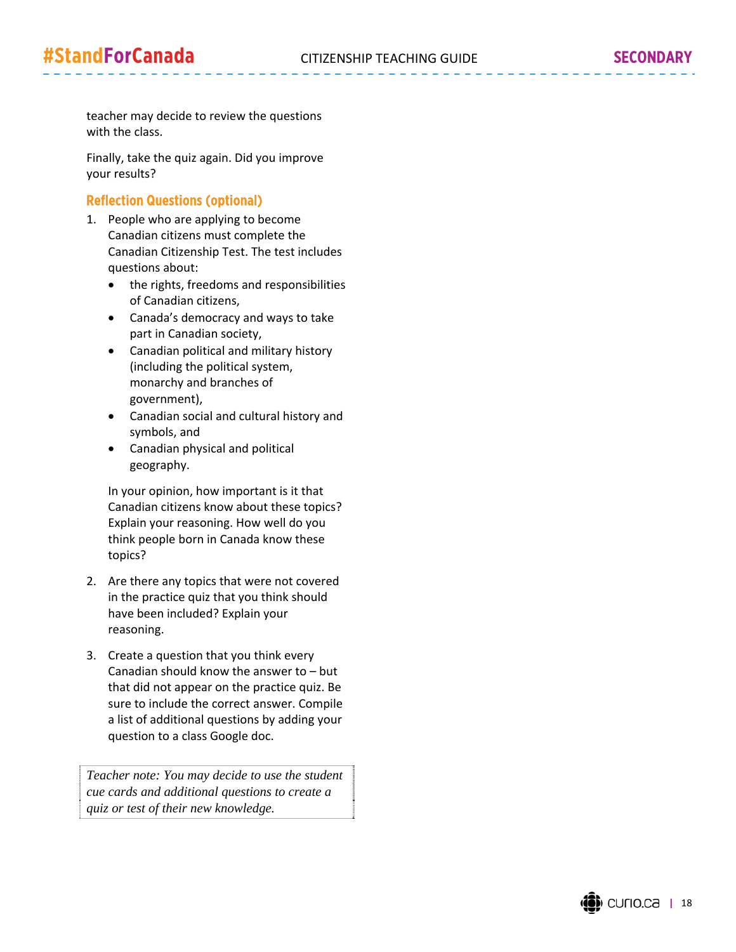teacher may decide to review the questions with the class.

Finally, take the quiz again. Did you improve your results?

#### Reflection Questions (optional)

- 1. People who are applying to become Canadian citizens must complete the Canadian Citizenship Test. The test includes questions about:
	- the rights, freedoms and responsibilities of Canadian citizens,
	- Canada's democracy and ways to take part in Canadian society,
	- Canadian political and military history (including the political system, monarchy and branches of government),
	- Canadian social and cultural history and symbols, and
	- Canadian physical and political geography.

In your opinion, how important is it that Canadian citizens know about these topics? Explain your reasoning. How well do you think people born in Canada know these topics?

- 2. Are there any topics that were not covered in the practice quiz that you think should have been included? Explain your reasoning.
- 3. Create a question that you think every Canadian should know the answer to – but that did not appear on the practice quiz. Be sure to include the correct answer. Compile a list of additional questions by adding your question to a class Google doc.

*Teacher note: You may decide to use the student cue cards and additional questions to create a quiz or test of their new knowledge.*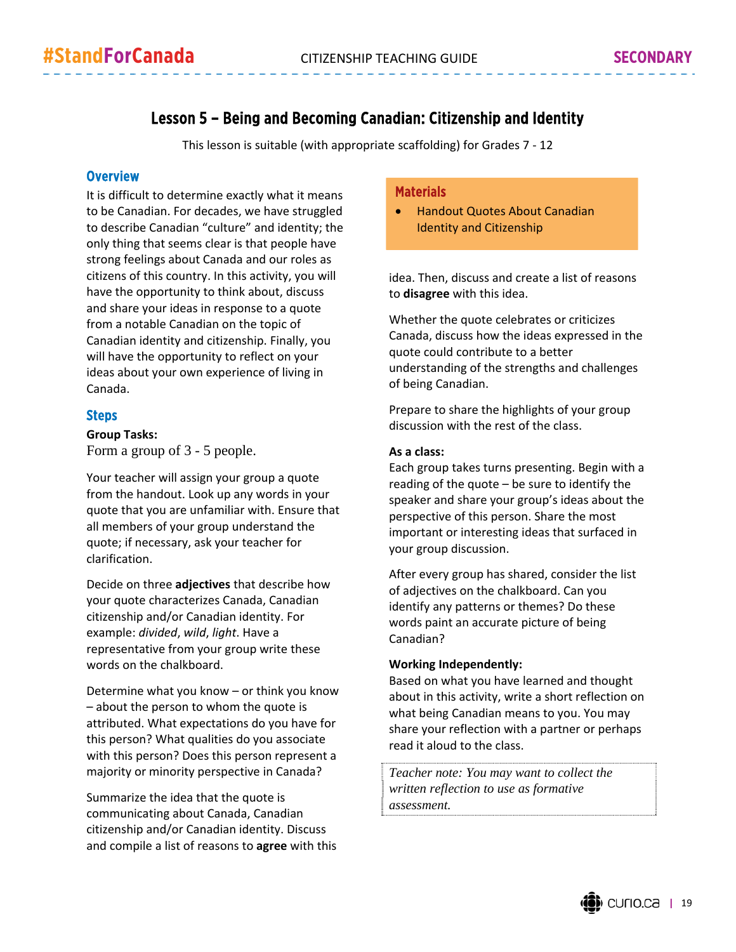## Lesson 5 – Being and Becoming Canadian: Citizenship and Identity

This lesson is suitable (with appropriate scaffolding) for Grades 7 ‐ 12

#### **Overview**

It is difficult to determine exactly what it means to be Canadian. For decades, we have struggled to describe Canadian "culture" and identity; the only thing that seems clear is that people have strong feelings about Canada and our roles as citizens of this country. In this activity, you will have the opportunity to think about, discuss and share your ideas in response to a quote from a notable Canadian on the topic of Canadian identity and citizenship. Finally, you will have the opportunity to reflect on your ideas about your own experience of living in Canada.

#### Steps

**Group Tasks:** Form a group of 3 - 5 people.

Your teacher will assign your group a quote from the handout. Look up any words in your quote that you are unfamiliar with. Ensure that all members of your group understand the quote; if necessary, ask your teacher for clarification.

Decide on three **adjectives** that describe how your quote characterizes Canada, Canadian citizenship and/or Canadian identity. For example: *divided*, *wild*, *light*. Have a representative from your group write these words on the chalkboard.

Determine what you know – or think you know – about the person to whom the quote is attributed. What expectations do you have for this person? What qualities do you associate with this person? Does this person represent a majority or minority perspective in Canada?

Summarize the idea that the quote is communicating about Canada, Canadian citizenship and/or Canadian identity. Discuss and compile a list of reasons to **agree** with this

#### Materials

 Handout Quotes About Canadian Identity and Citizenship

idea. Then, discuss and create a list of reasons to **disagree** with this idea.

Whether the quote celebrates or criticizes Canada, discuss how the ideas expressed in the quote could contribute to a better understanding of the strengths and challenges of being Canadian.

Prepare to share the highlights of your group discussion with the rest of the class.

#### **As a class:**

Each group takes turns presenting. Begin with a reading of the quote – be sure to identify the speaker and share your group's ideas about the perspective of this person. Share the most important or interesting ideas that surfaced in your group discussion.

After every group has shared, consider the list of adjectives on the chalkboard. Can you identify any patterns or themes? Do these words paint an accurate picture of being Canadian?

#### **Working Independently:**

Based on what you have learned and thought about in this activity, write a short reflection on what being Canadian means to you. You may share your reflection with a partner or perhaps read it aloud to the class.

*Teacher note: You may want to collect the written reflection to use as formative assessment.*